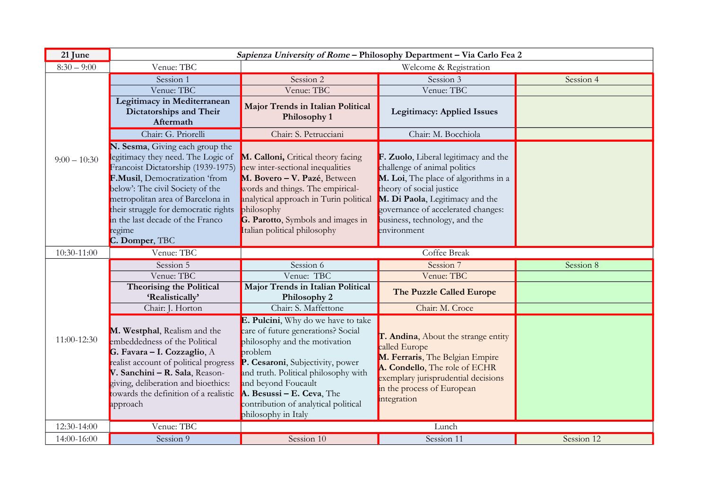| 21 June        | Sapienza University of Rome - Philosophy Department - Via Carlo Fea 2                                                                                                                                                                                                                                                          |                                                                                                                                                                                                                                                                                                                     |                                                                                                                                                                                                                                                                   |            |
|----------------|--------------------------------------------------------------------------------------------------------------------------------------------------------------------------------------------------------------------------------------------------------------------------------------------------------------------------------|---------------------------------------------------------------------------------------------------------------------------------------------------------------------------------------------------------------------------------------------------------------------------------------------------------------------|-------------------------------------------------------------------------------------------------------------------------------------------------------------------------------------------------------------------------------------------------------------------|------------|
| $8:30 - 9:00$  | Venue: TBC                                                                                                                                                                                                                                                                                                                     | Welcome & Registration                                                                                                                                                                                                                                                                                              |                                                                                                                                                                                                                                                                   |            |
| $9:00 - 10:30$ | Session 1                                                                                                                                                                                                                                                                                                                      | Session 2                                                                                                                                                                                                                                                                                                           | Session 3                                                                                                                                                                                                                                                         | Session 4  |
|                | Venue: TBC                                                                                                                                                                                                                                                                                                                     | Venue: TBC                                                                                                                                                                                                                                                                                                          | Venue: TBC                                                                                                                                                                                                                                                        |            |
|                | Legitimacy in Mediterranean<br>Dictatorships and Their<br>Aftermath                                                                                                                                                                                                                                                            | Major Trends in Italian Political<br>Philosophy 1                                                                                                                                                                                                                                                                   | <b>Legitimacy: Applied Issues</b>                                                                                                                                                                                                                                 |            |
|                | Chair: G. Priorelli                                                                                                                                                                                                                                                                                                            | Chair: S. Petrucciani                                                                                                                                                                                                                                                                                               | Chair: M. Bocchiola                                                                                                                                                                                                                                               |            |
|                | N. Sesma, Giving each group the<br>legitimacy they need. The Logic of<br>Francoist Dictatorship (1939-1975)<br>F.Musil, Democratization 'from<br>below': The civil Society of the<br>metropolitan area of Barcelona in<br>their struggle for democratic rights<br>in the last decade of the Franco<br>regime<br>C. Domper, TBC | M. Calloni, Critical theory facing<br>new inter-sectional inequalities<br>M. Bovero - V. Pazé, Between<br>words and things. The empirical-<br>analytical approach in Turin political<br>philosophy<br>G. Parotto, Symbols and images in<br>Italian political philosophy                                             | F. Zuolo, Liberal legitimacy and the<br>challenge of animal politics<br>M. Loi, The place of algorithms in a<br>theory of social justice<br>M. Di Paola, Legitimacy and the<br>governance of accelerated changes:<br>business, technology, and the<br>environment |            |
|                |                                                                                                                                                                                                                                                                                                                                |                                                                                                                                                                                                                                                                                                                     |                                                                                                                                                                                                                                                                   |            |
| 10:30-11:00    | Venue: TBC                                                                                                                                                                                                                                                                                                                     |                                                                                                                                                                                                                                                                                                                     | Coffee Break                                                                                                                                                                                                                                                      |            |
|                | Session 5                                                                                                                                                                                                                                                                                                                      | Session 6                                                                                                                                                                                                                                                                                                           | Session 7                                                                                                                                                                                                                                                         | Session 8  |
|                | Venue: TBC                                                                                                                                                                                                                                                                                                                     | Venue: TBC                                                                                                                                                                                                                                                                                                          | Venue: TBC                                                                                                                                                                                                                                                        |            |
|                | Theorising the Political<br>'Realistically'                                                                                                                                                                                                                                                                                    | Major Trends in Italian Political<br>Philosophy 2                                                                                                                                                                                                                                                                   | The Puzzle Called Europe                                                                                                                                                                                                                                          |            |
|                | Chair: J. Horton                                                                                                                                                                                                                                                                                                               | Chair: S. Maffettone                                                                                                                                                                                                                                                                                                | Chair: M. Croce                                                                                                                                                                                                                                                   |            |
| 11:00-12:30    | M. Westphal, Realism and the<br>embeddedness of the Political<br>G. Favara - I. Cozzaglio, A<br>realist account of political progress<br>V. Sanchini - R. Sala, Reason-<br>giving, deliberation and bioethics:<br>towards the definition of a realistic<br>approach                                                            | E. Pulcini, Why do we have to take<br>care of future generations? Social<br>philosophy and the motivation<br>problem<br>P. Cesaroni, Subjectivity, power<br>and truth. Political philosophy with<br>and beyond Foucault<br>A. Besussi - E. Ceva, The<br>contribution of analytical political<br>philosophy in Italy | T. Andina, About the strange entity<br>called Europe<br>M. Ferraris, The Belgian Empire<br>A. Condello, The role of ECHR<br>exemplary jurisprudential decisions<br>in the process of European<br>integration                                                      |            |
| 12:30-14:00    | Venue: TBC<br>Session 9                                                                                                                                                                                                                                                                                                        | Session 10                                                                                                                                                                                                                                                                                                          | Lunch                                                                                                                                                                                                                                                             | Session 12 |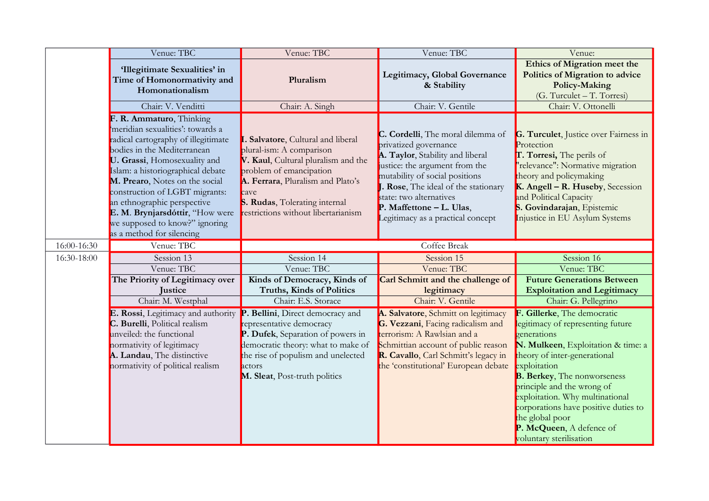|             | Venue: TBC                                                                                                                                                                                                                                                                                                                                                                                                   | Venue: TBC                                                                                                                                                                                                                                         | Venue: TBC                                                                                                                                                                                                                                                                                             | Venue:                                                                                                                                                                                                                                                                                                                                                                                         |
|-------------|--------------------------------------------------------------------------------------------------------------------------------------------------------------------------------------------------------------------------------------------------------------------------------------------------------------------------------------------------------------------------------------------------------------|----------------------------------------------------------------------------------------------------------------------------------------------------------------------------------------------------------------------------------------------------|--------------------------------------------------------------------------------------------------------------------------------------------------------------------------------------------------------------------------------------------------------------------------------------------------------|------------------------------------------------------------------------------------------------------------------------------------------------------------------------------------------------------------------------------------------------------------------------------------------------------------------------------------------------------------------------------------------------|
|             | 'Illegitimate Sexualities' in<br>Time of Homonormativity and<br>Homonationalism                                                                                                                                                                                                                                                                                                                              | Pluralism                                                                                                                                                                                                                                          | Legitimacy, Global Governance<br>& Stability                                                                                                                                                                                                                                                           | Ethics of Migration meet the<br><b>Politics of Migration to advice</b><br>Policy-Making<br>(G. Turculet - T. Torresi)                                                                                                                                                                                                                                                                          |
|             | Chair: V. Venditti                                                                                                                                                                                                                                                                                                                                                                                           | Chair: A. Singh                                                                                                                                                                                                                                    | Chair: V. Gentile                                                                                                                                                                                                                                                                                      | Chair: V. Ottonelli                                                                                                                                                                                                                                                                                                                                                                            |
|             | F. R. Ammaturo, Thinking<br>meridian sexualities': towards a<br>radical cartography of illegitimate<br>bodies in the Mediterranean<br>U. Grassi, Homosexuality and<br>Islam: a historiographical debate<br>M. Prearo, Notes on the social<br>construction of LGBT migrants:<br>an ethnographic perspective<br>E. M. Brynjarsdóttir, "How were<br>we supposed to know?" ignoring<br>as a method for silencing | Salvatore, Cultural and liberal<br>plural-ism: A comparison<br>V. Kaul, Cultural pluralism and the<br>problem of emancipation<br>A. Ferrara, Pluralism and Plato's<br>cave<br>S. Rudas, Tolerating internal<br>restrictions without libertarianism | C. Cordelli, The moral dilemma of<br>privatized governance<br>A. Taylor, Stability and liberal<br>justice: the argument from the<br>mutability of social positions<br>J. Rose, The ideal of the stationary<br>state: two alternatives<br>P. Maffettone - L. Ulas,<br>Legitimacy as a practical concept | G. Turculet, Justice over Fairness in<br>Protection<br>T. Torresi, The perils of<br>"relevance": Normative migration<br>theory and policymaking<br>K. Angell - R. Huseby, Secession<br>and Political Capacity<br>S. Govindarajan, Epistemic<br>Injustice in EU Asylum Systems                                                                                                                  |
| 16:00-16:30 | Venue: TBC                                                                                                                                                                                                                                                                                                                                                                                                   |                                                                                                                                                                                                                                                    | <b>Coffee Break</b>                                                                                                                                                                                                                                                                                    |                                                                                                                                                                                                                                                                                                                                                                                                |
| 16:30-18:00 | Session 13                                                                                                                                                                                                                                                                                                                                                                                                   | Session 14                                                                                                                                                                                                                                         | Session 15                                                                                                                                                                                                                                                                                             | Session 16                                                                                                                                                                                                                                                                                                                                                                                     |
|             | Venue: TBC                                                                                                                                                                                                                                                                                                                                                                                                   | Venue: TBC                                                                                                                                                                                                                                         | Venue: TBC                                                                                                                                                                                                                                                                                             | Venue: TBC                                                                                                                                                                                                                                                                                                                                                                                     |
|             | The Priority of Legitimacy over<br>Justice                                                                                                                                                                                                                                                                                                                                                                   | Kinds of Democracy, Kinds of<br><b>Truths, Kinds of Politics</b>                                                                                                                                                                                   | Carl Schmitt and the challenge of<br>legitimacy                                                                                                                                                                                                                                                        | <b>Future Generations Between</b><br><b>Exploitation and Legitimacy</b>                                                                                                                                                                                                                                                                                                                        |
|             | Chair: M. Westphal                                                                                                                                                                                                                                                                                                                                                                                           | Chair: E.S. Storace                                                                                                                                                                                                                                | Chair: V. Gentile                                                                                                                                                                                                                                                                                      | Chair: G. Pellegrino                                                                                                                                                                                                                                                                                                                                                                           |
|             | E. Rossi, Legitimacy and authority<br>C. Burelli, Political realism<br>unveiled: the functional<br>normativity of legitimacy<br>A. Landau, The distinctive<br>normativity of political realism                                                                                                                                                                                                               | P. Bellini, Direct democracy and<br>representative democracy<br>P. Dufek, Separation of powers in<br>democratic theory: what to make of<br>the rise of populism and unelected<br>actors<br>M. Sleat, Post-truth politics                           | A. Salvatore, Schmitt on legitimacy<br>G. Vezzani, Facing radicalism and<br>terrorism: A Rawlsian and a<br>Schmittian account of public reason<br>R. Cavallo, Carl Schmitt's legacy in<br>the 'constitutional' European debate                                                                         | F. Gillerke, The democratic<br>legitimacy of representing future<br>generations<br>N. Mulkeen, Exploitation & time: a<br>theory of inter-generational<br>exploitation<br><b>B. Berkey, The nonworseness</b><br>principle and the wrong of<br>exploitation. Why multinational<br>corporations have positive duties to<br>the global poor<br>P. McQueen, A defence of<br>voluntary sterilisation |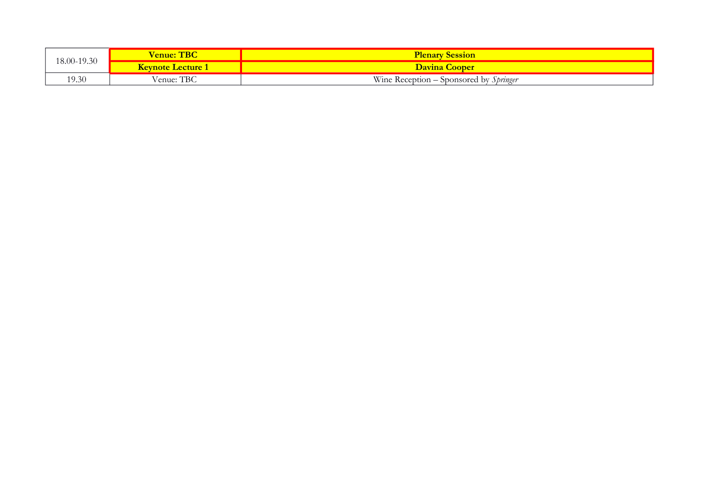| 18.00-19.30 | <b>Tenue: TBC</b>        | <b>Plenary Session</b>                 |
|-------------|--------------------------|----------------------------------------|
|             | <b>Keynote Lecture 1</b> | <b>Davina Cooper</b>                   |
| 19.30       | Venue: TBC               | Wine Reception – Sponsored by Springer |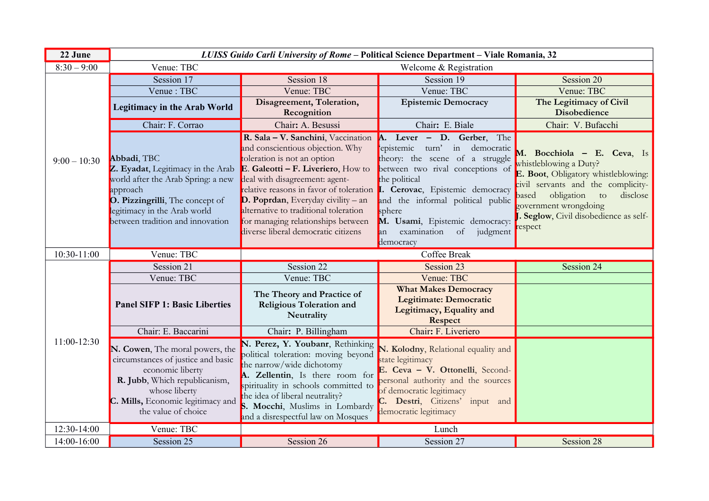| 22 June        |                                                                                                                                                                                                           | LUISS Guido Carli University of Rome - Political Science Department - Viale Romania, 32                                                                                                                                                                                                                                                                                                                                        |                                                                                                                                                                                                                                                                                                 |                                                                                                                                                                                                                                                      |
|----------------|-----------------------------------------------------------------------------------------------------------------------------------------------------------------------------------------------------------|--------------------------------------------------------------------------------------------------------------------------------------------------------------------------------------------------------------------------------------------------------------------------------------------------------------------------------------------------------------------------------------------------------------------------------|-------------------------------------------------------------------------------------------------------------------------------------------------------------------------------------------------------------------------------------------------------------------------------------------------|------------------------------------------------------------------------------------------------------------------------------------------------------------------------------------------------------------------------------------------------------|
| $8:30 - 9:00$  | Venue: TBC                                                                                                                                                                                                | Welcome & Registration                                                                                                                                                                                                                                                                                                                                                                                                         |                                                                                                                                                                                                                                                                                                 |                                                                                                                                                                                                                                                      |
| $9:00 - 10:30$ | Session 17                                                                                                                                                                                                | Session 18                                                                                                                                                                                                                                                                                                                                                                                                                     | Session 19                                                                                                                                                                                                                                                                                      | Session 20                                                                                                                                                                                                                                           |
|                | Venue: TBC                                                                                                                                                                                                | Venue: TBC                                                                                                                                                                                                                                                                                                                                                                                                                     | Venue: TBC                                                                                                                                                                                                                                                                                      | Venue: TBC                                                                                                                                                                                                                                           |
|                | <b>Legitimacy in the Arab World</b>                                                                                                                                                                       | Disagreement, Toleration,<br>Recognition                                                                                                                                                                                                                                                                                                                                                                                       | <b>Epistemic Democracy</b>                                                                                                                                                                                                                                                                      | The Legitimacy of Civil<br><b>Disobedience</b>                                                                                                                                                                                                       |
|                | Chair: F. Corrao                                                                                                                                                                                          | Chair: A. Besussi                                                                                                                                                                                                                                                                                                                                                                                                              | Chair: E. Biale                                                                                                                                                                                                                                                                                 | Chair: V. Bufacchi                                                                                                                                                                                                                                   |
|                | Abbadi, TBC<br>Z. Eyadat, Legitimacy in the Arab<br>world after the Arab Spring: a new<br>approach<br>O. Pizzingrilli, The concept of<br>legitimacy in the Arab world<br>between tradition and innovation | R. Sala - V. Sanchini, Vaccination<br>and conscientious objection. Why<br>toleration is not an option<br>E. Galeotti – F. Liveriero, How to<br>deal with disagreement: agent-<br>relative reasons in favor of toleration <b>I. Cerovac</b> , Epistemic democracy<br>$D.$ Poprdan, Everyday civility – an<br>alternative to traditional toleration<br>for managing relationships between<br>diverse liberal democratic citizens | A. Lever - D. Gerber, The<br>epistemic turn' in democratic<br>theory: the scene of a struggle<br>between two rival conceptions of<br>the political<br>and the informal political public<br>sphere<br>M. Usami, Epistemic democracy:<br>examination of<br>judgment<br>$\mathsf{an}$<br>democracy | M. Bocchiola - E. Ceva, Is<br>whistleblowing a Duty?<br>E. Boot, Obligatory whistleblowing:<br>civil servants and the complicity-<br>obligation to<br>disclose<br>based<br>government wrongdoing<br>. Seglow, Civil disobedience as self-<br>respect |
|                |                                                                                                                                                                                                           |                                                                                                                                                                                                                                                                                                                                                                                                                                |                                                                                                                                                                                                                                                                                                 |                                                                                                                                                                                                                                                      |
| 10:30-11:00    | Venue: TBC                                                                                                                                                                                                |                                                                                                                                                                                                                                                                                                                                                                                                                                | <b>Coffee Break</b>                                                                                                                                                                                                                                                                             |                                                                                                                                                                                                                                                      |
|                | Session 21                                                                                                                                                                                                | Session 22                                                                                                                                                                                                                                                                                                                                                                                                                     | Session 23                                                                                                                                                                                                                                                                                      | Session 24                                                                                                                                                                                                                                           |
|                | Venue: TBC                                                                                                                                                                                                | Venue: TBC                                                                                                                                                                                                                                                                                                                                                                                                                     | Venue: TBC                                                                                                                                                                                                                                                                                      |                                                                                                                                                                                                                                                      |
|                | <b>Panel SIFP 1: Basic Liberties</b>                                                                                                                                                                      | The Theory and Practice of<br>Religious Toleration and<br>Neutrality                                                                                                                                                                                                                                                                                                                                                           | <b>What Makes Democracy</b><br><b>Legitimate: Democratic</b><br>Legitimacy, Equality and<br><b>Respect</b>                                                                                                                                                                                      |                                                                                                                                                                                                                                                      |
|                | Chair: E. Baccarini                                                                                                                                                                                       | Chair: P. Billingham                                                                                                                                                                                                                                                                                                                                                                                                           | Chair: F. Liveriero                                                                                                                                                                                                                                                                             |                                                                                                                                                                                                                                                      |
| 11:00-12:30    | N. Cowen, The moral powers, the<br>circumstances of justice and basic<br>economic liberty<br>R. Jubb, Which republicanism,<br>whose liberty<br>C. Mills, Economic legitimacy and<br>the value of choice   | N. Perez, Y. Youbanr, Rethinking<br>political toleration: moving beyond<br>the narrow/wide dichotomy<br>A. Zellentin, Is there room for<br>spirituality in schools committed to<br>the idea of liberal neutrality?<br>S. Mocchi, Muslims in Lombardy<br>and a disrespectful law on Mosques                                                                                                                                     | N. Kolodny, Relational equality and<br>state legitimacy<br>E. Ceva - V. Ottonelli, Second-<br>personal authority and the sources<br>of democratic legitimacy<br>C. Destri, Citizens' input and<br>democratic legitimacy                                                                         |                                                                                                                                                                                                                                                      |
| 12:30-14:00    | Venue: TBC                                                                                                                                                                                                |                                                                                                                                                                                                                                                                                                                                                                                                                                | Lunch                                                                                                                                                                                                                                                                                           |                                                                                                                                                                                                                                                      |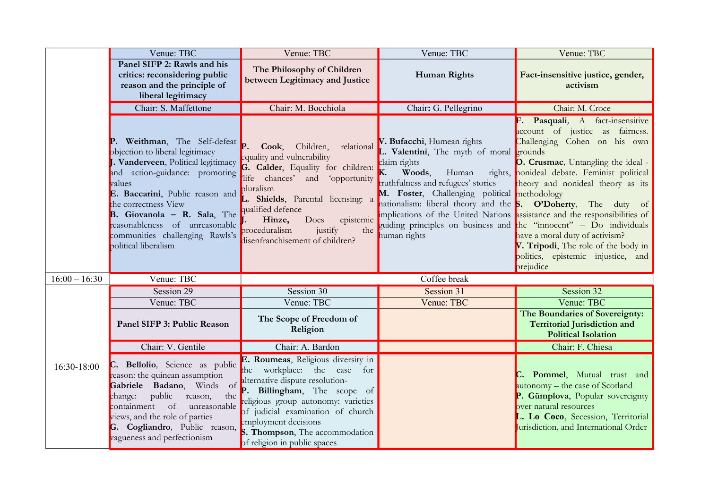|                 | Venue: TBC                                                                                                                                                                                                                                                                                                                                         | Venue: TBC                                                                                                                                                                                                                                                                                                           | Venue: TBC                                                                                                                                                                                                                                                                                    | Venue: TBC                                                                                                                                                                                                                                                                                                                                                                                                                                                                                                  |
|-----------------|----------------------------------------------------------------------------------------------------------------------------------------------------------------------------------------------------------------------------------------------------------------------------------------------------------------------------------------------------|----------------------------------------------------------------------------------------------------------------------------------------------------------------------------------------------------------------------------------------------------------------------------------------------------------------------|-----------------------------------------------------------------------------------------------------------------------------------------------------------------------------------------------------------------------------------------------------------------------------------------------|-------------------------------------------------------------------------------------------------------------------------------------------------------------------------------------------------------------------------------------------------------------------------------------------------------------------------------------------------------------------------------------------------------------------------------------------------------------------------------------------------------------|
|                 | Panel SIFP 2: Rawls and his<br>critics: reconsidering public<br>reason and the principle of<br>liberal legitimacy                                                                                                                                                                                                                                  | The Philosophy of Children<br>between Legitimacy and Justice                                                                                                                                                                                                                                                         | <b>Human Rights</b>                                                                                                                                                                                                                                                                           | Fact-insensitive justice, gender,<br>activism                                                                                                                                                                                                                                                                                                                                                                                                                                                               |
|                 | Chair: S. Maffettone                                                                                                                                                                                                                                                                                                                               | Chair: M. Bocchiola                                                                                                                                                                                                                                                                                                  | Chair: G. Pellegrino                                                                                                                                                                                                                                                                          | Chair: M. Croce                                                                                                                                                                                                                                                                                                                                                                                                                                                                                             |
|                 | P. Weithman, The Self-defeat<br>objection to liberal legitimacy<br>J. Vanderveen, Political legitimacy<br>and action-guidance: promoting<br>values<br>E. Baccarini, Public reason and<br>the correctness View<br><b>B.</b> Giovanola $-$ R. Sala, The<br>reasonableness of unreasonable<br>communities challenging Rawls's<br>political liberalism | Children,<br>Cook,<br>relational<br>equality and vulnerability<br>G. Calder, Equality for children:<br>life chances' and<br>'opportunity<br>pluralism<br>L. Shields, Parental licensing: a<br>qualified defence<br>epistemic<br>Hinze,<br>Does<br>proceduralism<br>justify<br>the<br>disenfranchisement of children? | V. Bufacchi, Humean rights<br>L. Valentini, The myth of moral grounds<br>claim rights<br>K.<br>Woods,<br>Human<br>truthfulness and refugees' stories<br>M. Foster, Challenging political methodology<br>nationalism: liberal theory and the <b>S. O'Doherty</b> , The duty of<br>human rights | F. Pasquali, A fact-insensitive<br>account of justice as fairness.<br>Challenging Cohen on his own<br>O. Crusmac, Untangling the ideal -<br>rights, nonideal debate. Feminist political<br>theory and nonideal theory as its<br>implications of the United Nations assistance and the responsibilities of<br>guiding principles on business and the "innocent" - Do individuals<br>have a moral duty of activism?<br>V. Tripodi, The role of the body in<br>politics, epistemic injustice, and<br>prejudice |
| $16:00 - 16:30$ | Venue: TBC                                                                                                                                                                                                                                                                                                                                         |                                                                                                                                                                                                                                                                                                                      | Coffee break                                                                                                                                                                                                                                                                                  |                                                                                                                                                                                                                                                                                                                                                                                                                                                                                                             |
|                 | Session 29                                                                                                                                                                                                                                                                                                                                         | Session 30                                                                                                                                                                                                                                                                                                           | Session 31                                                                                                                                                                                                                                                                                    | Session 32                                                                                                                                                                                                                                                                                                                                                                                                                                                                                                  |
|                 | Venue: TBC                                                                                                                                                                                                                                                                                                                                         | Venue: TBC                                                                                                                                                                                                                                                                                                           | Venue: TBC                                                                                                                                                                                                                                                                                    | Venue: TBC                                                                                                                                                                                                                                                                                                                                                                                                                                                                                                  |
|                 | Panel SIFP 3: Public Reason                                                                                                                                                                                                                                                                                                                        | The Scope of Freedom of<br>Religion                                                                                                                                                                                                                                                                                  |                                                                                                                                                                                                                                                                                               | The Boundaries of Sovereignty:<br><b>Territorial Jurisdiction and</b><br><b>Political Isolation</b>                                                                                                                                                                                                                                                                                                                                                                                                         |
|                 | Chair: V. Gentile                                                                                                                                                                                                                                                                                                                                  | Chair: A. Bardon                                                                                                                                                                                                                                                                                                     |                                                                                                                                                                                                                                                                                               | Chair: F. Chiesa                                                                                                                                                                                                                                                                                                                                                                                                                                                                                            |
| 16:30-18:00     | C. Bellolio, Science as public<br>reason: the quinean assumption<br>Gabriele Badano, Winds of<br>public<br>the<br>change:<br>reason,<br>containment of<br>unreasonable<br>views, and the role of parties<br>G. Cogliandro, Public reason,<br>vagueness and perfectionism                                                                           | E. Roumeas, Religious diversity in<br>the workplace: the case<br>for<br>alternative dispute resolution-<br>P. Billingham, The scope of<br>religious group autonomy: varieties<br>of judicial examination of church<br>employment decisions<br>S. Thompson, The accommodation<br>of religion in public spaces         |                                                                                                                                                                                                                                                                                               | Pommel, Mutual trust and<br>autonomy - the case of Scotland<br>P. Gümplova, Popular sovereignty<br>over natural resources<br>L. Lo Coco, Secession, Territorial<br>Jurisdiction, and International Order                                                                                                                                                                                                                                                                                                    |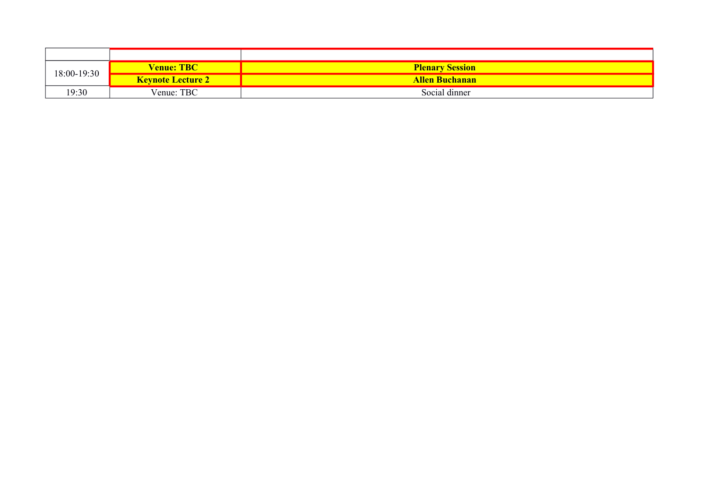|             | <b>Venue: TBC</b>        | <b>Plenary Session</b> |
|-------------|--------------------------|------------------------|
| 18:00-19:30 | <b>Keynote Lecture 2</b> | <b>Allen Buchanan</b>  |
| 19:30       | Venue: TBC               | Social dinner          |